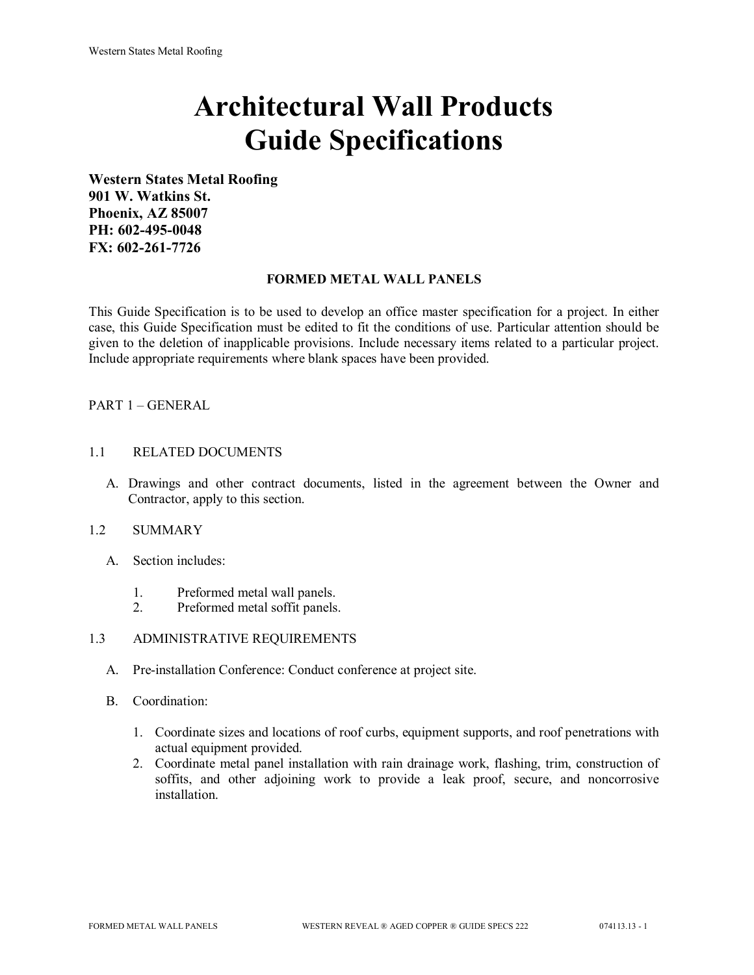# **Architectural Wall Products Guide Specifications**

**Western States Metal Roofing 901 W. Watkins St. Phoenix, AZ 85007 PH: 602-495-0048 FX: 602-261-7726**

## **FORMED METAL WALL PANELS**

This Guide Specification is to be used to develop an office master specification for a project. In either case, this Guide Specification must be edited to fit the conditions of use. Particular attention should be given to the deletion of inapplicable provisions. Include necessary items related to a particular project. Include appropriate requirements where blank spaces have been provided.

## PART 1 – GENERAL

## 1.1 RELATED DOCUMENTS

A. Drawings and other contract documents, listed in the agreement between the Owner and Contractor, apply to this section.

#### 1.2 SUMMARY

- A. Section includes:
	- 1. Preformed metal wall panels.
	- 2. Preformed metal soffit panels.

## 1.3 ADMINISTRATIVE REQUIREMENTS

- A. Pre-installation Conference: Conduct conference at project site.
- B. Coordination:
	- 1. Coordinate sizes and locations of roof curbs, equipment supports, and roof penetrations with actual equipment provided.
	- 2. Coordinate metal panel installation with rain drainage work, flashing, trim, construction of soffits, and other adjoining work to provide a leak proof, secure, and noncorrosive installation.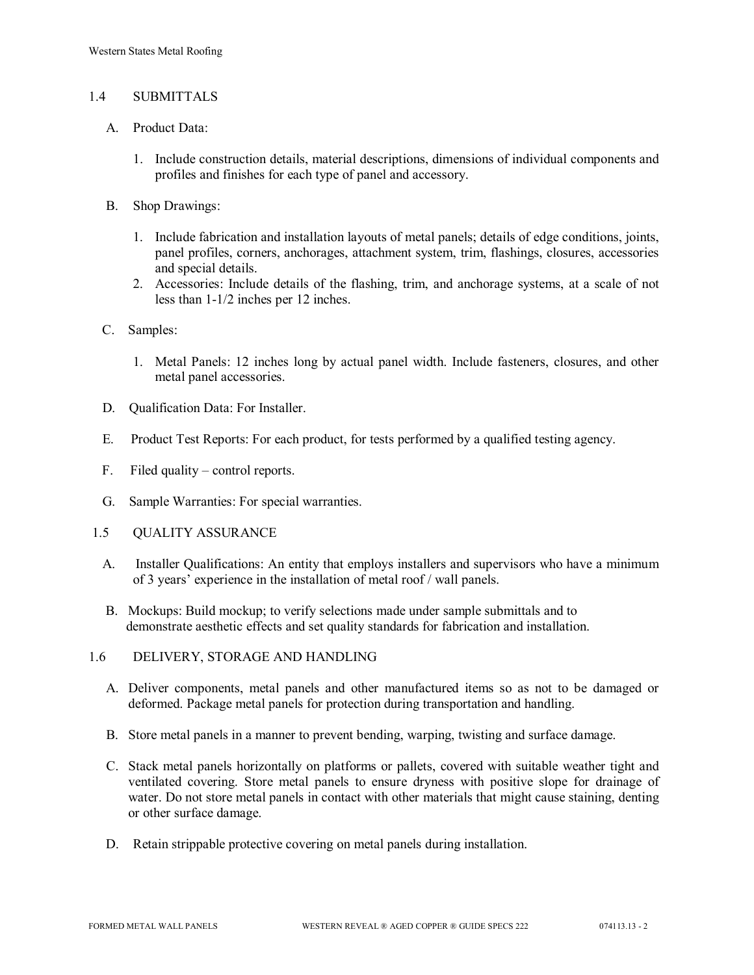## 1.4 SUBMITTALS

- A. Product Data:
	- 1. Include construction details, material descriptions, dimensions of individual components and profiles and finishes for each type of panel and accessory.
- B. Shop Drawings:
	- 1. Include fabrication and installation layouts of metal panels; details of edge conditions, joints, panel profiles, corners, anchorages, attachment system, trim, flashings, closures, accessories and special details.
	- 2. Accessories: Include details of the flashing, trim, and anchorage systems, at a scale of not less than 1-1/2 inches per 12 inches.
- C. Samples:
	- 1. Metal Panels: 12 inches long by actual panel width. Include fasteners, closures, and other metal panel accessories.
- D. Qualification Data: For Installer.
- E. Product Test Reports: For each product, for tests performed by a qualified testing agency.
- F. Filed quality control reports.
- G. Sample Warranties: For special warranties.
- 1.5 QUALITY ASSURANCE
	- A. Installer Qualifications: An entity that employs installers and supervisors who have a minimum of 3 years' experience in the installation of metal roof / wall panels.
	- B. Mockups: Build mockup; to verify selections made under sample submittals and to demonstrate aesthetic effects and set quality standards for fabrication and installation.
- 1.6 DELIVERY, STORAGE AND HANDLING
	- A. Deliver components, metal panels and other manufactured items so as not to be damaged or deformed. Package metal panels for protection during transportation and handling.
	- B. Store metal panels in a manner to prevent bending, warping, twisting and surface damage.
	- C. Stack metal panels horizontally on platforms or pallets, covered with suitable weather tight and ventilated covering. Store metal panels to ensure dryness with positive slope for drainage of water. Do not store metal panels in contact with other materials that might cause staining, denting or other surface damage.
	- D. Retain strippable protective covering on metal panels during installation.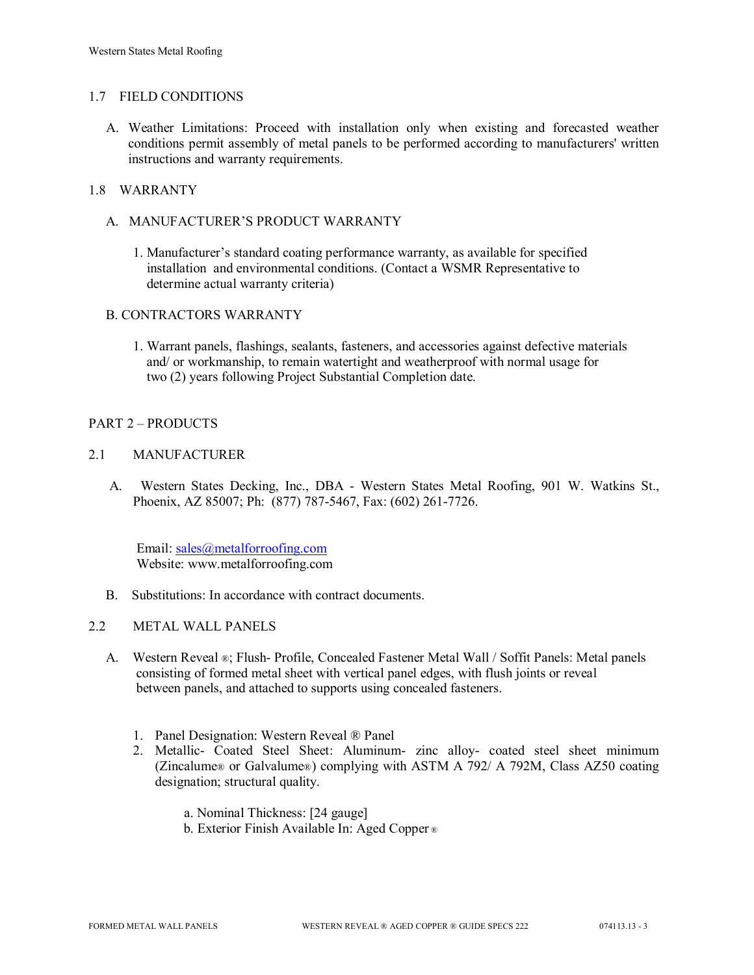## 1.7 FIELD CONDITIONS

A. Weather Limitations: Proceed with installation only when existing and forecasted weather conditions permit assembly of metal panels to be performed according to manufacturers' written instructions and warranty requirements.

## 1.8 WARRANTY

- A. MANUFACTURER'S PRODUCT WARRANTY
	- 1. Manufacturer's standard coating performance warranty, as available for specified installation and environmental conditions. (Contact a WSMR Representative to determine actual warranty criteria)

## B. CONTRACTORS WARRANTY

1. Warrant panels, flashings, sealants, fasteners, and accessories against defective materials and/ or workmanship, to remain watertight and weatherproof with normal usage for two (2) years following Project Substantial Completion date.

## PART 2 – PRODUCTS

## 2.1 MANUFACTURER

 A. Western States Decking, Inc., DBA - Western States Metal Roofing, 901 W. Watkins St., Phoenix, AZ 85007; Ph: (877) 787-5467, Fax: (602) 261-7726.

Email: [sales@metalforroofing.com](mailto:sales@metalforroofing.com) Website: www.metalforroofing.com

- B. Substitutions: In accordance with contract documents.
- 2.2 METAL WALL PANELS
	- A. Western Reveal ®; Flush- Profile, Concealed Fastener Metal Wall / Soffit Panels: Metal panels consisting of formed metal sheet with vertical panel edges, with flush joints or reveal between panels, and attached to supports using concealed fasteners.
		- 1. Panel Designation: Western Reveal ® Panel
		- 2. Metallic- Coated Steel Sheet: Aluminum- zinc alloy- coated steel sheet minimum (Zincalume® or Galvalume®) complying with ASTM A 792/ A 792M, Class AZ50 coating designation; structural quality.
			- a. Nominal Thickness: [24 gauge]
			- b. Exterior Finish Available In: Aged Copper ®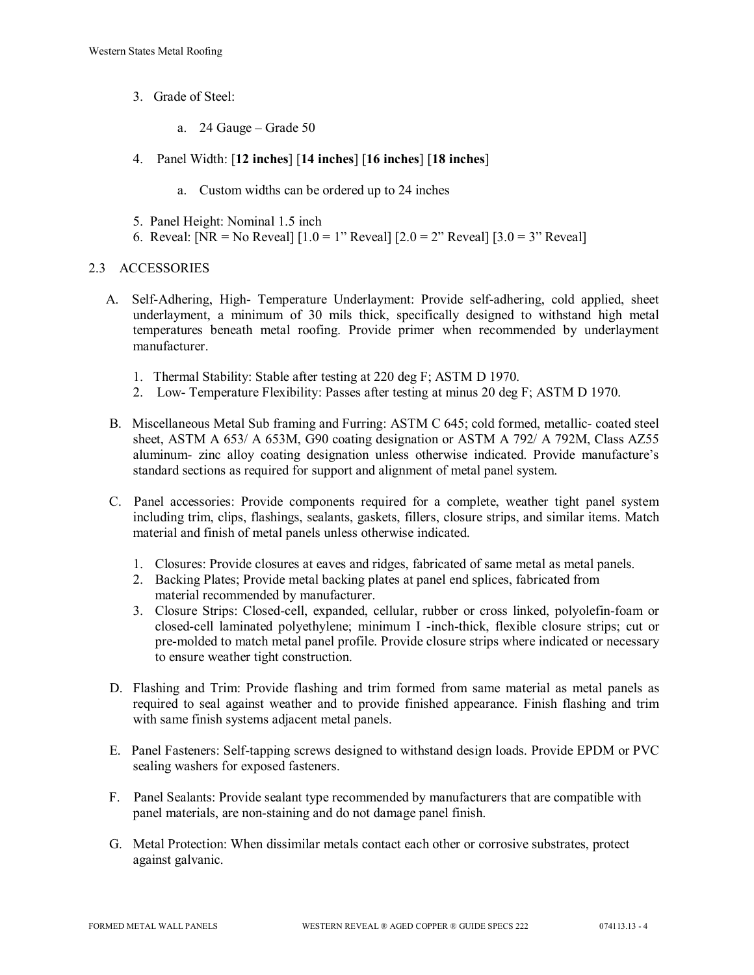- 3. Grade of Steel:
	- a. 24 Gauge Grade 50
- 4. Panel Width: [**12 inches**] [**14 inches**] [**16 inches**] [**18 inches**]
	- a. Custom widths can be ordered up to 24 inches
- 5. Panel Height: Nominal 1.5 inch
- 6. Reveal: [NR = No Reveal]  $[1.0 = 1$ " Reveal]  $[2.0 = 2$ " Reveal]  $[3.0 = 3$ " Reveal]

## 2.3 ACCESSORIES

- A. Self-Adhering, High- Temperature Underlayment: Provide self-adhering, cold applied, sheet underlayment, a minimum of 30 mils thick, specifically designed to withstand high metal temperatures beneath metal roofing. Provide primer when recommended by underlayment manufacturer.
	- 1. Thermal Stability: Stable after testing at 220 deg F; ASTM D 1970.
	- 2. Low- Temperature Flexibility: Passes after testing at minus 20 deg F; ASTM D 1970.
- B. Miscellaneous Metal Sub framing and Furring: ASTM C 645; cold formed, metallic- coated steel sheet, ASTM A 653/ A 653M, G90 coating designation or ASTM A 792/ A 792M, Class AZ55 aluminum- zinc alloy coating designation unless otherwise indicated. Provide manufacture's standard sections as required for support and alignment of metal panel system.
- C. Panel accessories: Provide components required for a complete, weather tight panel system including trim, clips, flashings, sealants, gaskets, fillers, closure strips, and similar items. Match material and finish of metal panels unless otherwise indicated.
	- 1. Closures: Provide closures at eaves and ridges, fabricated of same metal as metal panels.
	- 2. Backing Plates; Provide metal backing plates at panel end splices, fabricated from material recommended by manufacturer.
	- 3. Closure Strips: Closed-cell, expanded, cellular, rubber or cross linked, polyolefin-foam or closed-cell laminated polyethylene; minimum I -inch-thick, flexible closure strips; cut or pre-molded to match metal panel profile. Provide closure strips where indicated or necessary to ensure weather tight construction.
- D. Flashing and Trim: Provide flashing and trim formed from same material as metal panels as required to seal against weather and to provide finished appearance. Finish flashing and trim with same finish systems adjacent metal panels.
- E. Panel Fasteners: Self-tapping screws designed to withstand design loads. Provide EPDM or PVC sealing washers for exposed fasteners.
- F. Panel Sealants: Provide sealant type recommended by manufacturers that are compatible with panel materials, are non-staining and do not damage panel finish.
- G. Metal Protection: When dissimilar metals contact each other or corrosive substrates, protect against galvanic.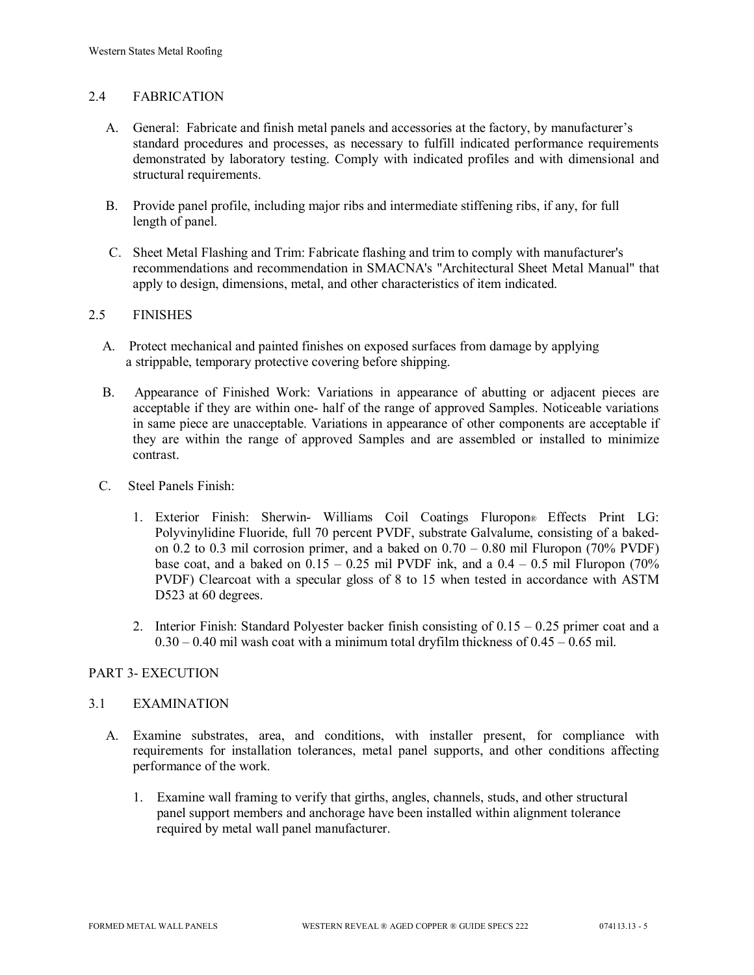## 2.4 FABRICATION

- A. General: Fabricate and finish metal panels and accessories at the factory, by manufacturer's standard procedures and processes, as necessary to fulfill indicated performance requirements demonstrated by laboratory testing. Comply with indicated profiles and with dimensional and structural requirements.
- B. Provide panel profile, including major ribs and intermediate stiffening ribs, if any, for full length of panel.
- C. Sheet Metal Flashing and Trim: Fabricate flashing and trim to comply with manufacturer's recommendations and recommendation in SMACNA's "Architectural Sheet Metal Manual" that apply to design, dimensions, metal, and other characteristics of item indicated.

## 2.5 FINISHES

- A. Protect mechanical and painted finishes on exposed surfaces from damage by applying a strippable, temporary protective covering before shipping.
- B. Appearance of Finished Work: Variations in appearance of abutting or adjacent pieces are acceptable if they are within one- half of the range of approved Samples. Noticeable variations in same piece are unacceptable. Variations in appearance of other components are acceptable if they are within the range of approved Samples and are assembled or installed to minimize contrast.
- C. Steel Panels Finish:
	- 1. Exterior Finish: Sherwin- Williams Coil Coatings Fluropon® Effects Print LG: Polyvinylidine Fluoride, full 70 percent PVDF, substrate Galvalume, consisting of a bakedon 0.2 to 0.3 mil corrosion primer, and a baked on  $0.70 - 0.80$  mil Fluropon (70% PVDF) base coat, and a baked on  $0.15 - 0.25$  mil PVDF ink, and a  $0.4 - 0.5$  mil Fluropon (70%) PVDF) Clearcoat with a specular gloss of 8 to 15 when tested in accordance with ASTM D523 at 60 degrees.
	- 2. Interior Finish: Standard Polyester backer finish consisting of  $0.15 0.25$  primer coat and a  $0.30 - 0.40$  mil wash coat with a minimum total dryfilm thickness of  $0.45 - 0.65$  mil.

## PART 3- EXECUTION

#### 3.1 EXAMINATION

- A. Examine substrates, area, and conditions, with installer present, for compliance with requirements for installation tolerances, metal panel supports, and other conditions affecting performance of the work.
	- 1. Examine wall framing to verify that girths, angles, channels, studs, and other structural panel support members and anchorage have been installed within alignment tolerance required by metal wall panel manufacturer.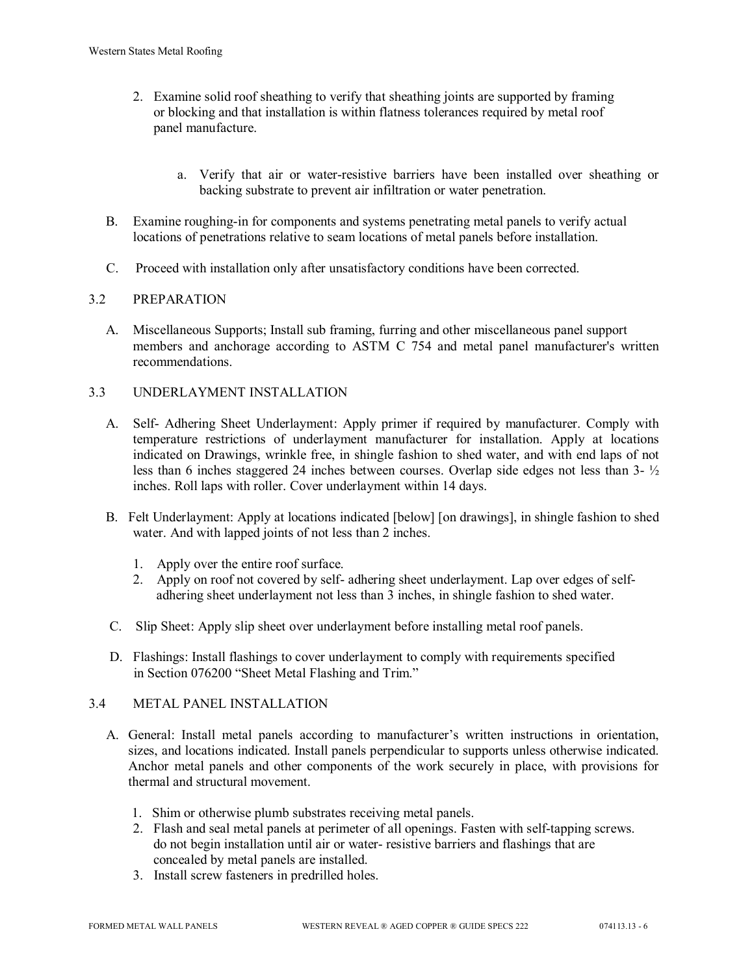- 2. Examine solid roof sheathing to verify that sheathing joints are supported by framing or blocking and that installation is within flatness tolerances required by metal roof panel manufacture.
	- a. Verify that air or water-resistive barriers have been installed over sheathing or backing substrate to prevent air infiltration or water penetration.
- B. Examine roughing-in for components and systems penetrating metal panels to verify actual locations of penetrations relative to seam locations of metal panels before installation.
- C. Proceed with installation only after unsatisfactory conditions have been corrected.

## 3.2 PREPARATION

- A. Miscellaneous Supports; Install sub framing, furring and other miscellaneous panel support members and anchorage according to ASTM C 754 and metal panel manufacturer's written recommendations.
- 3.3 UNDERLAYMENT INSTALLATION
	- A. Self- Adhering Sheet Underlayment: Apply primer if required by manufacturer. Comply with temperature restrictions of underlayment manufacturer for installation. Apply at locations indicated on Drawings, wrinkle free, in shingle fashion to shed water, and with end laps of not less than 6 inches staggered 24 inches between courses. Overlap side edges not less than 3- ½ inches. Roll laps with roller. Cover underlayment within 14 days.
	- B. Felt Underlayment: Apply at locations indicated [below] [on drawings], in shingle fashion to shed water. And with lapped joints of not less than 2 inches.
		- 1. Apply over the entire roof surface.
		- 2. Apply on roof not covered by self- adhering sheet underlayment. Lap over edges of self adhering sheet underlayment not less than 3 inches, in shingle fashion to shed water.
	- C. Slip Sheet: Apply slip sheet over underlayment before installing metal roof panels.
	- D. Flashings: Install flashings to cover underlayment to comply with requirements specified in Section 076200 "Sheet Metal Flashing and Trim."

## 3.4 METAL PANEL INSTALLATION

- A. General: Install metal panels according to manufacturer's written instructions in orientation, sizes, and locations indicated. Install panels perpendicular to supports unless otherwise indicated. Anchor metal panels and other components of the work securely in place, with provisions for thermal and structural movement.
	- 1. Shim or otherwise plumb substrates receiving metal panels.
	- 2. Flash and seal metal panels at perimeter of all openings. Fasten with self-tapping screws. do not begin installation until air or water- resistive barriers and flashings that are concealed by metal panels are installed.
	- 3. Install screw fasteners in predrilled holes.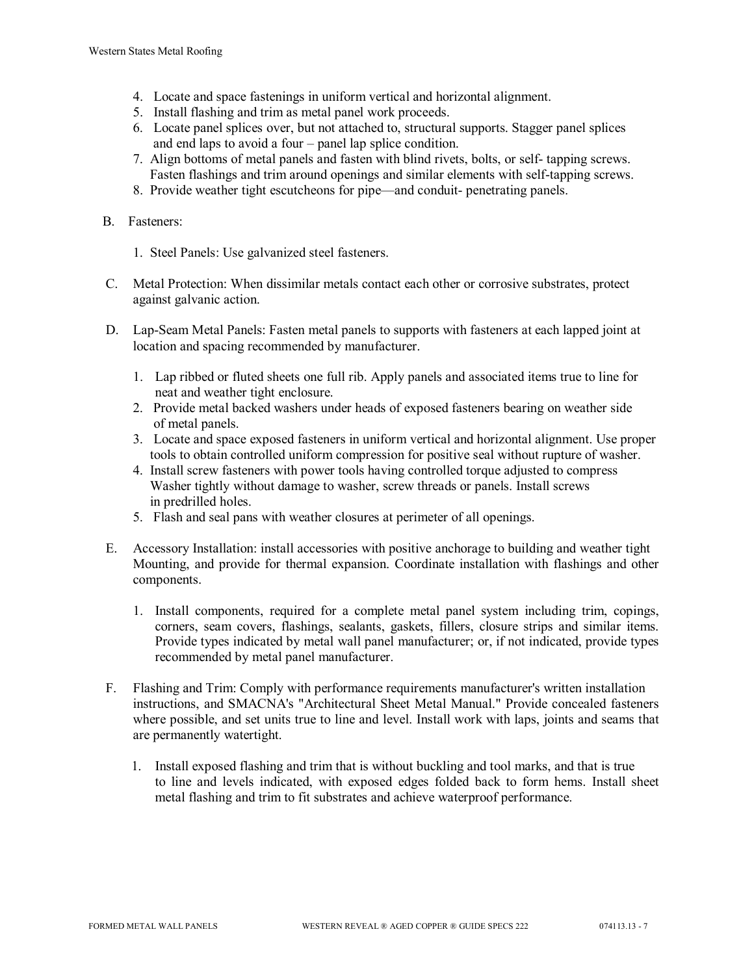- 4. Locate and space fastenings in uniform vertical and horizontal alignment.
- 5. Install flashing and trim as metal panel work proceeds.
- 6. Locate panel splices over, but not attached to, structural supports. Stagger panel splices and end laps to avoid a four – panel lap splice condition.
- 7. Align bottoms of metal panels and fasten with blind rivets, bolts, or self- tapping screws. Fasten flashings and trim around openings and similar elements with self-tapping screws.
- 8. Provide weather tight escutcheons for pipe—and conduit- penetrating panels.

## B. Fasteners:

- 1. Steel Panels: Use galvanized steel fasteners.
- C. Metal Protection: When dissimilar metals contact each other or corrosive substrates, protect against galvanic action.
- D. Lap-Seam Metal Panels: Fasten metal panels to supports with fasteners at each lapped joint at location and spacing recommended by manufacturer.
	- 1. Lap ribbed or fluted sheets one full rib. Apply panels and associated items true to line for neat and weather tight enclosure.
	- 2. Provide metal backed washers under heads of exposed fasteners bearing on weather side of metal panels.
	- 3. Locate and space exposed fasteners in uniform vertical and horizontal alignment. Use proper tools to obtain controlled uniform compression for positive seal without rupture of washer.
	- 4. Install screw fasteners with power tools having controlled torque adjusted to compress Washer tightly without damage to washer, screw threads or panels. Install screws in predrilled holes.
	- 5. Flash and seal pans with weather closures at perimeter of all openings.
- E. Accessory Installation: install accessories with positive anchorage to building and weather tight Mounting, and provide for thermal expansion. Coordinate installation with flashings and other components.
	- 1. Install components, required for a complete metal panel system including trim, copings, corners, seam covers, flashings, sealants, gaskets, fillers, closure strips and similar items. Provide types indicated by metal wall panel manufacturer; or, if not indicated, provide types recommended by metal panel manufacturer.
- F. Flashing and Trim: Comply with performance requirements manufacturer's written installation instructions, and SMACNA's "Architectural Sheet Metal Manual." Provide concealed fasteners where possible, and set units true to line and level. Install work with laps, joints and seams that are permanently watertight.
	- 1. Install exposed flashing and trim that is without buckling and tool marks, and that is true to line and levels indicated, with exposed edges folded back to form hems. Install sheet metal flashing and trim to fit substrates and achieve waterproof performance.